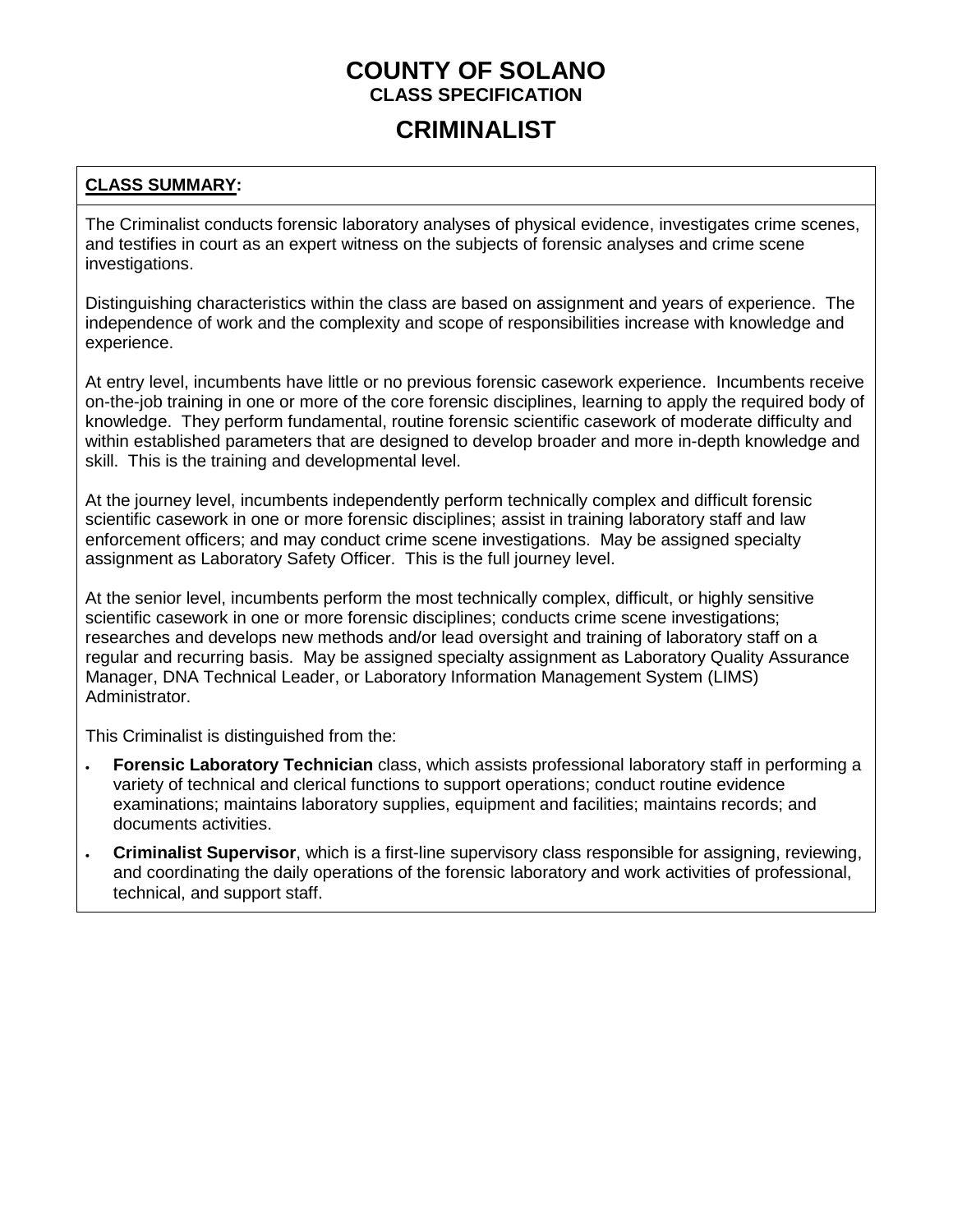## **CRIMINALIST**

### **CLASS SUMMARY:**

The Criminalist conducts forensic laboratory analyses of physical evidence, investigates crime scenes, and testifies in court as an expert witness on the subjects of forensic analyses and crime scene investigations.

Distinguishing characteristics within the class are based on assignment and years of experience. The independence of work and the complexity and scope of responsibilities increase with knowledge and experience.

At entry level, incumbents have little or no previous forensic casework experience. Incumbents receive on-the-job training in one or more of the core forensic disciplines, learning to apply the required body of knowledge. They perform fundamental, routine forensic scientific casework of moderate difficulty and within established parameters that are designed to develop broader and more in-depth knowledge and skill. This is the training and developmental level.

At the journey level, incumbents independently perform technically complex and difficult forensic scientific casework in one or more forensic disciplines; assist in training laboratory staff and law enforcement officers; and may conduct crime scene investigations. May be assigned specialty assignment as Laboratory Safety Officer. This is the full journey level.

At the senior level, incumbents perform the most technically complex, difficult, or highly sensitive scientific casework in one or more forensic disciplines; conducts crime scene investigations; researches and develops new methods and/or lead oversight and training of laboratory staff on a regular and recurring basis. May be assigned specialty assignment as Laboratory Quality Assurance Manager, DNA Technical Leader, or Laboratory Information Management System (LIMS) Administrator.

This Criminalist is distinguished from the:

- **Forensic Laboratory Technician** class, which assists professional laboratory staff in performing a variety of technical and clerical functions to support operations; conduct routine evidence examinations; maintains laboratory supplies, equipment and facilities; maintains records; and documents activities.
- **Criminalist Supervisor**, which is a first-line supervisory class responsible for assigning, reviewing, and coordinating the daily operations of the forensic laboratory and work activities of professional, technical, and support staff.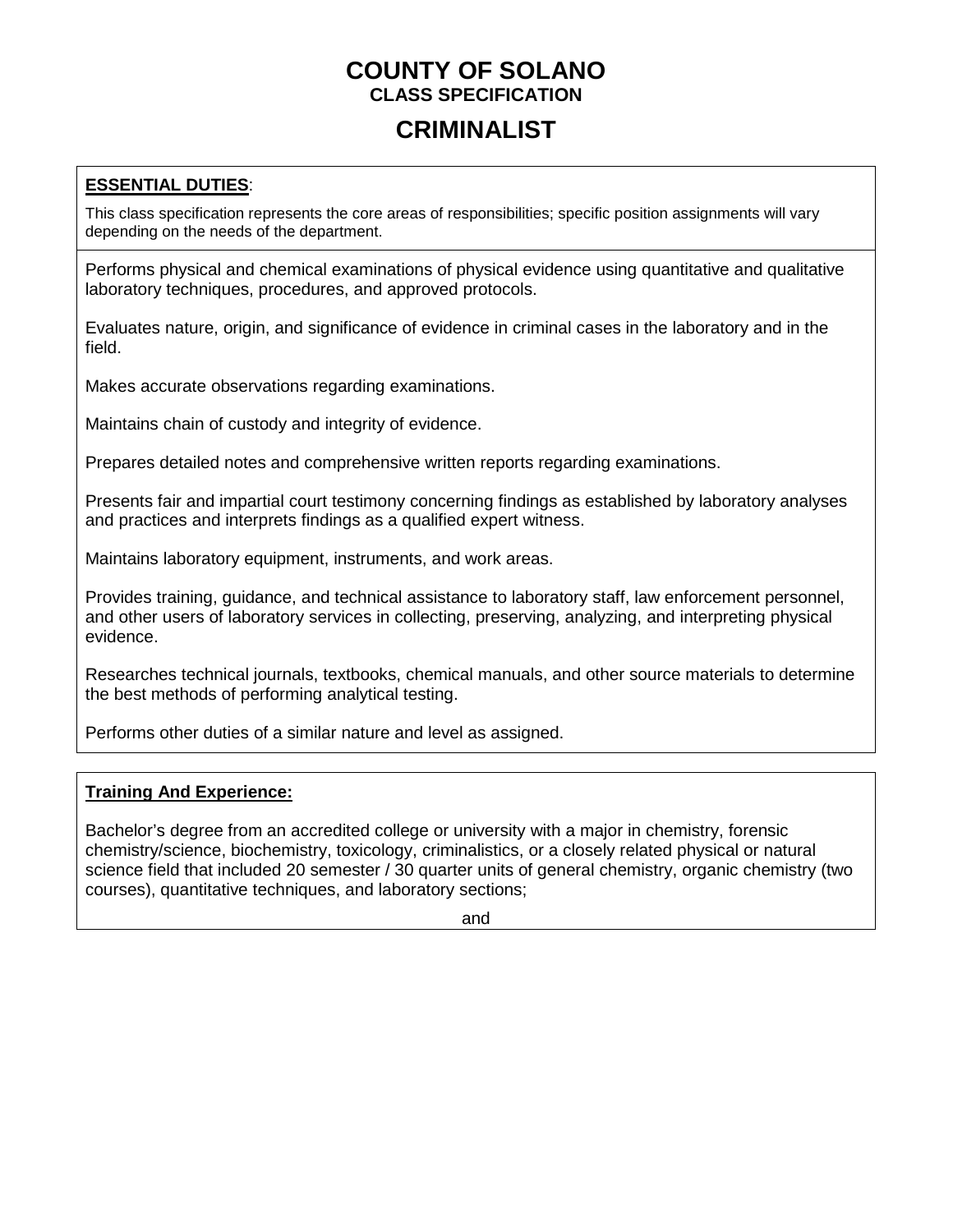## **CRIMINALIST**

### **ESSENTIAL DUTIES**:

This class specification represents the core areas of responsibilities; specific position assignments will vary depending on the needs of the department.

Performs physical and chemical examinations of physical evidence using quantitative and qualitative laboratory techniques, procedures, and approved protocols.

Evaluates nature, origin, and significance of evidence in criminal cases in the laboratory and in the field.

Makes accurate observations regarding examinations.

Maintains chain of custody and integrity of evidence.

Prepares detailed notes and comprehensive written reports regarding examinations.

Presents fair and impartial court testimony concerning findings as established by laboratory analyses and practices and interprets findings as a qualified expert witness.

Maintains laboratory equipment, instruments, and work areas.

Provides training, guidance, and technical assistance to laboratory staff, law enforcement personnel, and other users of laboratory services in collecting, preserving, analyzing, and interpreting physical evidence.

Researches technical journals, textbooks, chemical manuals, and other source materials to determine the best methods of performing analytical testing.

Performs other duties of a similar nature and level as assigned.

### **Training And Experience:**

Bachelor's degree from an accredited college or university with a major in chemistry, forensic chemistry/science, biochemistry, toxicology, criminalistics, or a closely related physical or natural science field that included 20 semester / 30 quarter units of general chemistry, organic chemistry (two courses), quantitative techniques, and laboratory sections;

and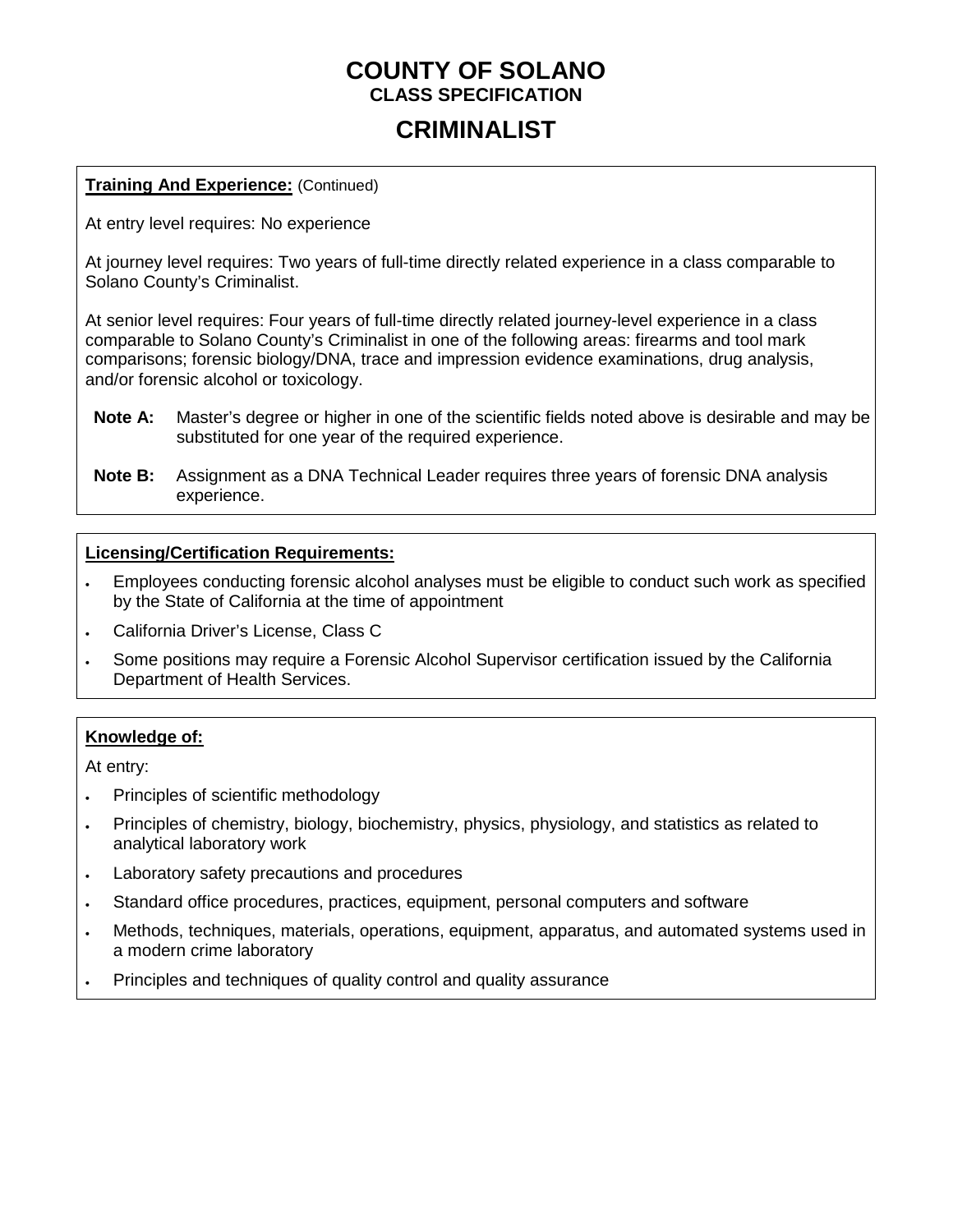## **CRIMINALIST**

### **Training And Experience:** (Continued)

At entry level requires: No experience

At journey level requires: Two years of full-time directly related experience in a class comparable to Solano County's Criminalist.

At senior level requires: Four years of full-time directly related journey-level experience in a class comparable to Solano County's Criminalist in one of the following areas: firearms and tool mark comparisons; forensic biology/DNA, trace and impression evidence examinations, drug analysis, and/or forensic alcohol or toxicology.

- **Note A:** Master's degree or higher in one of the scientific fields noted above is desirable and may be substituted for one year of the required experience.
- **Note B:** Assignment as a DNA Technical Leader requires three years of forensic DNA analysis experience.

#### **Licensing/Certification Requirements:**

- Employees conducting forensic alcohol analyses must be eligible to conduct such work as specified by the State of California at the time of appointment
- California Driver's License, Class C
- Some positions may require a Forensic Alcohol Supervisor certification issued by the California Department of Health Services.

### **Knowledge of:**

At entry:

- Principles of scientific methodology
- Principles of chemistry, biology, biochemistry, physics, physiology, and statistics as related to analytical laboratory work
- Laboratory safety precautions and procedures
- Standard office procedures, practices, equipment, personal computers and software
- Methods, techniques, materials, operations, equipment, apparatus, and automated systems used in a modern crime laboratory
- Principles and techniques of quality control and quality assurance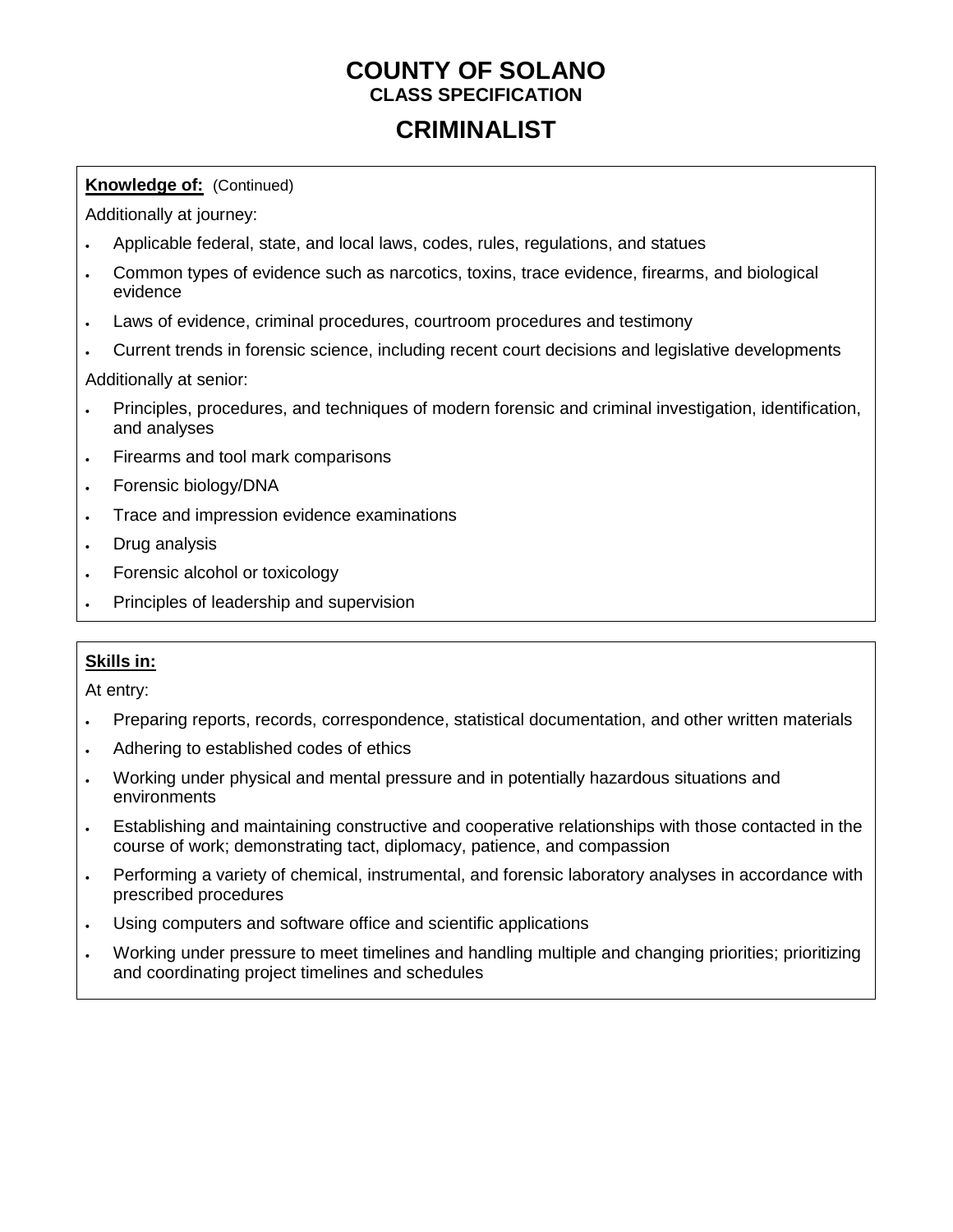# **CRIMINALIST**

### **Knowledge of:** (Continued)

Additionally at journey:

- Applicable federal, state, and local laws, codes, rules, regulations, and statues
- Common types of evidence such as narcotics, toxins, trace evidence, firearms, and biological evidence
- Laws of evidence, criminal procedures, courtroom procedures and testimony
- Current trends in forensic science, including recent court decisions and legislative developments

Additionally at senior:

- Principles, procedures, and techniques of modern forensic and criminal investigation, identification, and analyses
- Firearms and tool mark comparisons
- Forensic biology/DNA
- Trace and impression evidence examinations
- Drug analysis
- Forensic alcohol or toxicology
- Principles of leadership and supervision

### **Skills in:**

At entry:

- Preparing reports, records, correspondence, statistical documentation, and other written materials
- Adhering to established codes of ethics
- Working under physical and mental pressure and in potentially hazardous situations and environments
- Establishing and maintaining constructive and cooperative relationships with those contacted in the course of work; demonstrating tact, diplomacy, patience, and compassion
- Performing a variety of chemical, instrumental, and forensic laboratory analyses in accordance with prescribed procedures
- Using computers and software office and scientific applications
- Working under pressure to meet timelines and handling multiple and changing priorities; prioritizing and coordinating project timelines and schedules